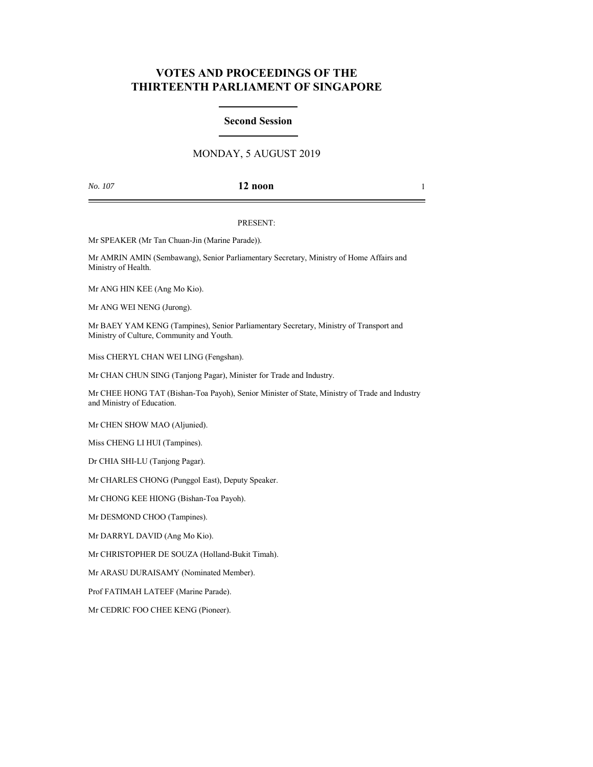# **VOTES AND PROCEEDINGS OF THE THIRTEENTH PARLIAMENT OF SINGAPORE**

# **Second Session**

# MONDAY, 5 AUGUST 2019

## *No. 107* **12 noon** 1

### PRESENT:

Mr SPEAKER (Mr Tan Chuan-Jin (Marine Parade)).

Mr AMRIN AMIN (Sembawang), Senior Parliamentary Secretary, Ministry of Home Affairs and Ministry of Health.

Mr ANG HIN KEE (Ang Mo Kio).

Mr ANG WEI NENG (Jurong).

Mr BAEY YAM KENG (Tampines), Senior Parliamentary Secretary, Ministry of Transport and Ministry of Culture, Community and Youth.

Miss CHERYL CHAN WEI LING (Fengshan).

Mr CHAN CHUN SING (Tanjong Pagar), Minister for Trade and Industry.

Mr CHEE HONG TAT (Bishan-Toa Payoh), Senior Minister of State, Ministry of Trade and Industry and Ministry of Education.

Mr CHEN SHOW MAO (Aljunied).

Miss CHENG LI HUI (Tampines).

Dr CHIA SHI-LU (Tanjong Pagar).

Mr CHARLES CHONG (Punggol East), Deputy Speaker.

Mr CHONG KEE HIONG (Bishan-Toa Payoh).

Mr DESMOND CHOO (Tampines).

Mr DARRYL DAVID (Ang Mo Kio).

Mr CHRISTOPHER DE SOUZA (Holland-Bukit Timah).

Mr ARASU DURAISAMY (Nominated Member).

Prof FATIMAH LATEEF (Marine Parade).

Mr CEDRIC FOO CHEE KENG (Pioneer).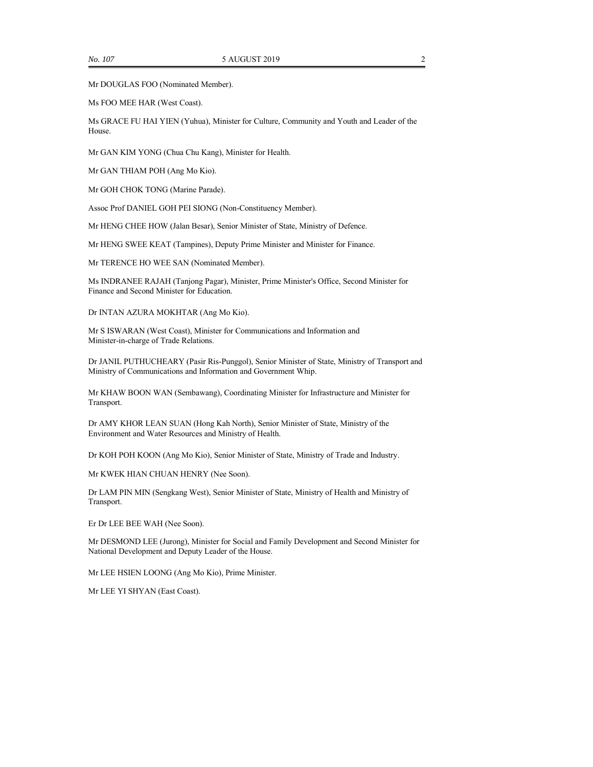Mr DOUGLAS FOO (Nominated Member).

Ms FOO MEE HAR (West Coast).

Ms GRACE FU HAI YIEN (Yuhua), Minister for Culture, Community and Youth and Leader of the House.

Mr GAN KIM YONG (Chua Chu Kang), Minister for Health.

Mr GAN THIAM POH (Ang Mo Kio).

Mr GOH CHOK TONG (Marine Parade).

Assoc Prof DANIEL GOH PEI SIONG (Non-Constituency Member).

Mr HENG CHEE HOW (Jalan Besar), Senior Minister of State, Ministry of Defence.

Mr HENG SWEE KEAT (Tampines), Deputy Prime Minister and Minister for Finance.

Mr TERENCE HO WEE SAN (Nominated Member).

Ms INDRANEE RAJAH (Tanjong Pagar), Minister, Prime Minister's Office, Second Minister for Finance and Second Minister for Education.

Dr INTAN AZURA MOKHTAR (Ang Mo Kio).

Mr S ISWARAN (West Coast), Minister for Communications and Information and Minister-in-charge of Trade Relations.

Dr JANIL PUTHUCHEARY (Pasir Ris-Punggol), Senior Minister of State, Ministry of Transport and Ministry of Communications and Information and Government Whip.

Mr KHAW BOON WAN (Sembawang), Coordinating Minister for Infrastructure and Minister for Transport.

Dr AMY KHOR LEAN SUAN (Hong Kah North), Senior Minister of State, Ministry of the Environment and Water Resources and Ministry of Health.

Dr KOH POH KOON (Ang Mo Kio), Senior Minister of State, Ministry of Trade and Industry.

Mr KWEK HIAN CHUAN HENRY (Nee Soon).

Dr LAM PIN MIN (Sengkang West), Senior Minister of State, Ministry of Health and Ministry of Transport.

Er Dr LEE BEE WAH (Nee Soon).

Mr DESMOND LEE (Jurong), Minister for Social and Family Development and Second Minister for National Development and Deputy Leader of the House.

Mr LEE HSIEN LOONG (Ang Mo Kio), Prime Minister.

Mr LEE YI SHYAN (East Coast).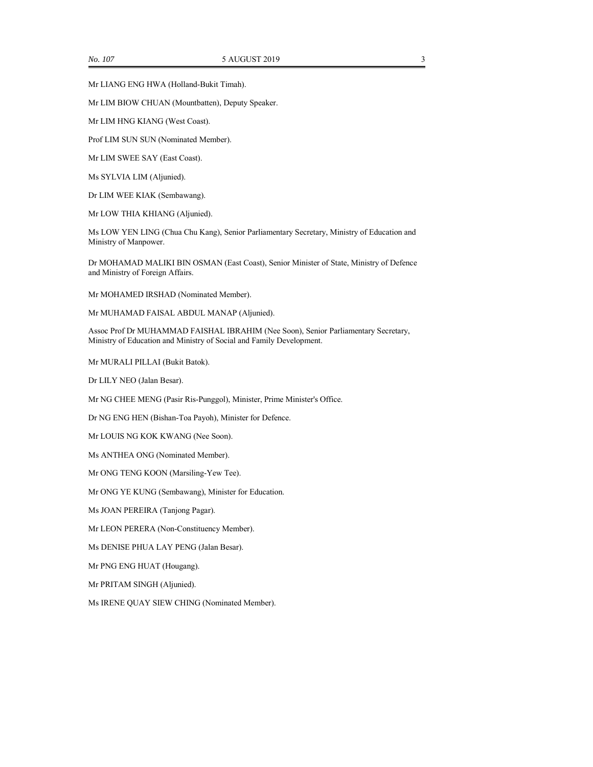Mr LIM BIOW CHUAN (Mountbatten), Deputy Speaker.

Mr LIM HNG KIANG (West Coast).

Prof LIM SUN SUN (Nominated Member).

Mr LIM SWEE SAY (East Coast).

Ms SYLVIA LIM (Aljunied).

Dr LIM WEE KIAK (Sembawang).

Mr LOW THIA KHIANG (Aljunied).

Ms LOW YEN LING (Chua Chu Kang), Senior Parliamentary Secretary, Ministry of Education and Ministry of Manpower.

Dr MOHAMAD MALIKI BIN OSMAN (East Coast), Senior Minister of State, Ministry of Defence and Ministry of Foreign Affairs.

Mr MOHAMED IRSHAD (Nominated Member).

Mr MUHAMAD FAISAL ABDUL MANAP (Aljunied).

Assoc Prof Dr MUHAMMAD FAISHAL IBRAHIM (Nee Soon), Senior Parliamentary Secretary, Ministry of Education and Ministry of Social and Family Development.

Mr MURALI PILLAI (Bukit Batok).

Dr LILY NEO (Jalan Besar).

Mr NG CHEE MENG (Pasir Ris-Punggol), Minister, Prime Minister's Office.

Dr NG ENG HEN (Bishan-Toa Payoh), Minister for Defence.

Mr LOUIS NG KOK KWANG (Nee Soon).

Ms ANTHEA ONG (Nominated Member).

Mr ONG TENG KOON (Marsiling-Yew Tee).

Mr ONG YE KUNG (Sembawang), Minister for Education.

Ms JOAN PEREIRA (Tanjong Pagar).

Mr LEON PERERA (Non-Constituency Member).

Ms DENISE PHUA LAY PENG (Jalan Besar).

Mr PNG ENG HUAT (Hougang).

Mr PRITAM SINGH (Aljunied).

Ms IRENE QUAY SIEW CHING (Nominated Member).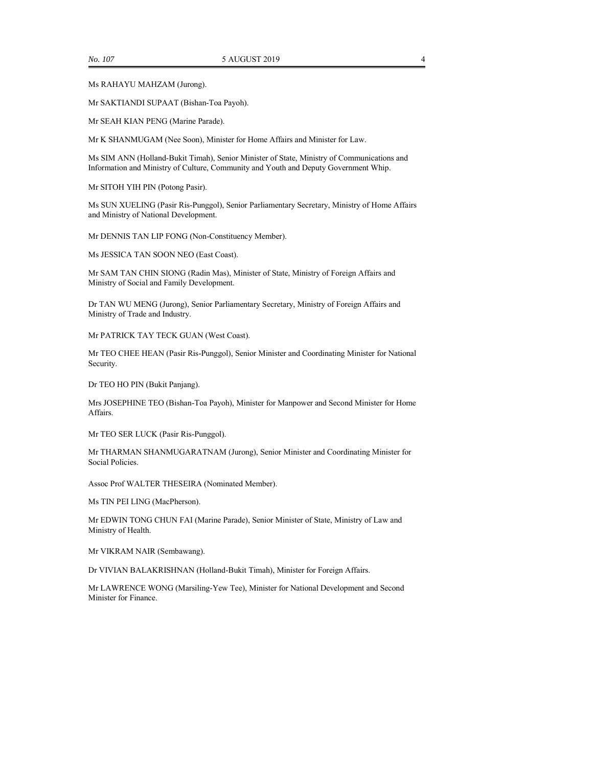Ms RAHAYU MAHZAM (Jurong).

Mr SAKTIANDI SUPAAT (Bishan-Toa Payoh).

Mr SEAH KIAN PENG (Marine Parade).

Mr K SHANMUGAM (Nee Soon), Minister for Home Affairs and Minister for Law.

Ms SIM ANN (Holland-Bukit Timah), Senior Minister of State, Ministry of Communications and Information and Ministry of Culture, Community and Youth and Deputy Government Whip.

Mr SITOH YIH PIN (Potong Pasir).

Ms SUN XUELING (Pasir Ris-Punggol), Senior Parliamentary Secretary, Ministry of Home Affairs and Ministry of National Development.

Mr DENNIS TAN LIP FONG (Non-Constituency Member).

Ms JESSICA TAN SOON NEO (East Coast).

Mr SAM TAN CHIN SIONG (Radin Mas), Minister of State, Ministry of Foreign Affairs and Ministry of Social and Family Development.

Dr TAN WU MENG (Jurong), Senior Parliamentary Secretary, Ministry of Foreign Affairs and Ministry of Trade and Industry.

Mr PATRICK TAY TECK GUAN (West Coast).

Mr TEO CHEE HEAN (Pasir Ris-Punggol), Senior Minister and Coordinating Minister for National Security.

Dr TEO HO PIN (Bukit Panjang).

Mrs JOSEPHINE TEO (Bishan-Toa Payoh), Minister for Manpower and Second Minister for Home Affairs.

Mr TEO SER LUCK (Pasir Ris-Punggol).

Mr THARMAN SHANMUGARATNAM (Jurong), Senior Minister and Coordinating Minister for Social Policies.

Assoc Prof WALTER THESEIRA (Nominated Member).

Ms TIN PEI LING (MacPherson).

Mr EDWIN TONG CHUN FAI (Marine Parade), Senior Minister of State, Ministry of Law and Ministry of Health.

Mr VIKRAM NAIR (Sembawang).

Dr VIVIAN BALAKRISHNAN (Holland-Bukit Timah), Minister for Foreign Affairs.

Mr LAWRENCE WONG (Marsiling-Yew Tee), Minister for National Development and Second Minister for Finance.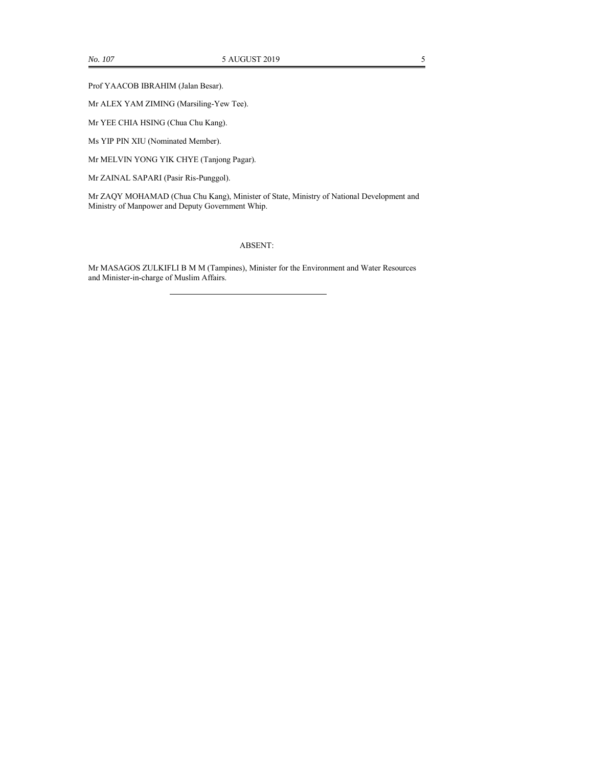Prof YAACOB IBRAHIM (Jalan Besar).

Mr ALEX YAM ZIMING (Marsiling-Yew Tee).

Mr YEE CHIA HSING (Chua Chu Kang).

Ms YIP PIN XIU (Nominated Member).

Mr MELVIN YONG YIK CHYE (Tanjong Pagar).

Mr ZAINAL SAPARI (Pasir Ris-Punggol).

Mr ZAQY MOHAMAD (Chua Chu Kang), Minister of State, Ministry of National Development and Ministry of Manpower and Deputy Government Whip.

## ABSENT:

Mr MASAGOS ZULKIFLI B M M (Tampines), Minister for the Environment and Water Resources and Minister-in-charge of Muslim Affairs.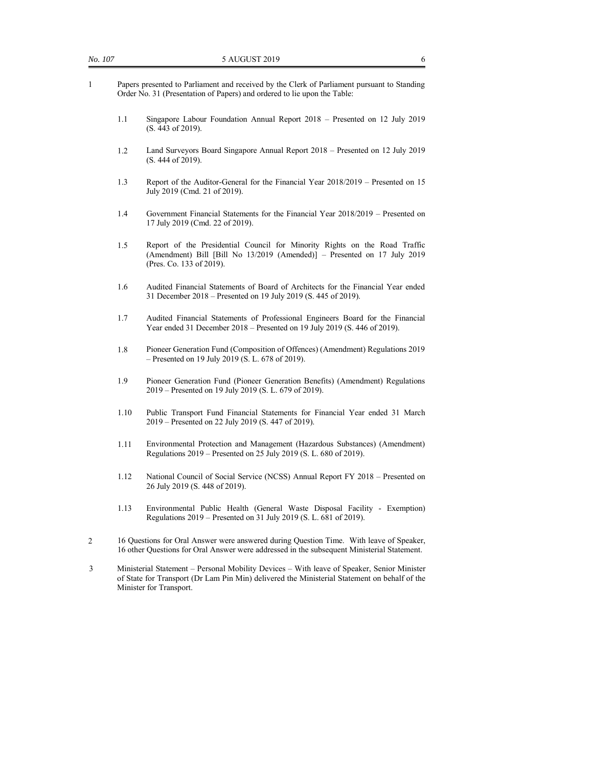- 1 Papers presented to Parliament and received by the Clerk of Parliament pursuant to Standing Order No. 31 (Presentation of Papers) and ordered to lie upon the Table:
	- 1.1 Singapore Labour Foundation Annual Report 2018 Presented on 12 July 2019 (S. 443 of 2019).
	- 1.2 Land Surveyors Board Singapore Annual Report 2018 Presented on 12 July 2019 (S. 444 of 2019).
	- 1.3 Report of the Auditor-General for the Financial Year 2018/2019 Presented on 15 July 2019 (Cmd. 21 of 2019).
	- 1.4 Government Financial Statements for the Financial Year 2018/2019 Presented on 17 July 2019 (Cmd. 22 of 2019).
	- 1.5 Report of the Presidential Council for Minority Rights on the Road Traffic (Amendment) Bill [Bill No 13/2019 (Amended)] – Presented on 17 July 2019 (Pres. Co. 133 of 2019).
	- 1.6 Audited Financial Statements of Board of Architects for the Financial Year ended 31 December 2018 – Presented on 19 July 2019 (S. 445 of 2019).
	- 1.7 Audited Financial Statements of Professional Engineers Board for the Financial Year ended 31 December 2018 – Presented on 19 July 2019 (S. 446 of 2019).
	- 1.8 Pioneer Generation Fund (Composition of Offences) (Amendment) Regulations 2019 – Presented on 19 July 2019 (S. L. 678 of 2019).
	- 1.9 Pioneer Generation Fund (Pioneer Generation Benefits) (Amendment) Regulations 2019 – Presented on 19 July 2019 (S. L. 679 of 2019).
	- 1.10 Public Transport Fund Financial Statements for Financial Year ended 31 March 2019 – Presented on 22 July 2019 (S. 447 of 2019).
	- 1.11 Environmental Protection and Management (Hazardous Substances) (Amendment) Regulations 2019 – Presented on 25 July 2019 (S. L. 680 of 2019).
	- 1.12 National Council of Social Service (NCSS) Annual Report FY 2018 Presented on 26 July 2019 (S. 448 of 2019).
	- 1.13 Environmental Public Health (General Waste Disposal Facility Exemption) Regulations 2019 – Presented on 31 July 2019 (S. L. 681 of 2019).
- 2 16 Questions for Oral Answer were answered during Question Time. With leave of Speaker, 16 other Questions for Oral Answer were addressed in the subsequent Ministerial Statement.
- 3 Ministerial Statement Personal Mobility Devices With leave of Speaker, Senior Minister of State for Transport (Dr Lam Pin Min) delivered the Ministerial Statement on behalf of the Minister for Transport.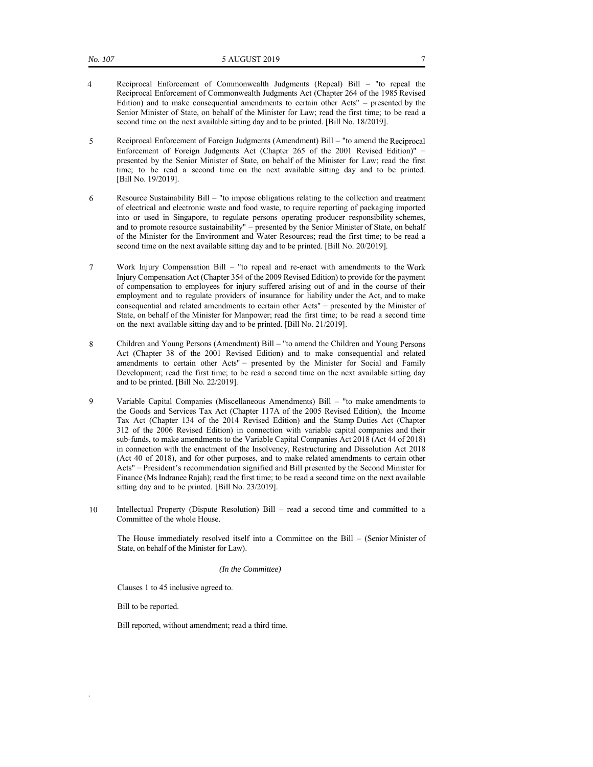- 4 Reciprocal Enforcement of Commonwealth Judgments (Repeal) Bill "to repeal the Reciprocal Enforcement of Commonwealth Judgments Act (Chapter 264 of the 1985 Revised Edition) and to make consequential amendments to certain other Acts" – presented by the Senior Minister of State, on behalf of the Minister for Law; read the first time; to be read a second time on the next available sitting day and to be printed. [Bill No. 18/2019].
- 5 Reciprocal Enforcement of Foreign Judgments (Amendment) Bill "to amend the Reciprocal Enforcement of Foreign Judgments Act (Chapter 265 of the 2001 Revised Edition)" – presented by the Senior Minister of State, on behalf of the Minister for Law; read the first time; to be read a second time on the next available sitting day and to be printed. [Bill No. 19/2019].
- 6 Resource Sustainability Bill "to impose obligations relating to the collection and treatment of electrical and electronic waste and food waste, to require reporting of packaging imported into or used in Singapore, to regulate persons operating producer responsibility schemes, and to promote resource sustainability" – presented by the Senior Minister of State, on behalf of the Minister for the Environment and Water Resources; read the first time; to be read a second time on the next available sitting day and to be printed. [Bill No. 20/2019].
- 7 Work Injury Compensation Bill "to repeal and re-enact with amendments to the Work Injury Compensation Act (Chapter 354 of the 2009 Revised Edition) to provide for the payment of compensation to employees for injury suffered arising out of and in the course of their employment and to regulate providers of insurance for liability under the Act, and to make consequential and related amendments to certain other Acts" – presented by the Minister of State, on behalf of the Minister for Manpower; read the first time; to be read a second time on the next available sitting day and to be printed. [Bill No. 21/2019].
- 8 Children and Young Persons (Amendment) Bill "to amend the Children and Young Persons Act (Chapter 38 of the 2001 Revised Edition) and to make consequential and related amendments to certain other Acts" – presented by the Minister for Social and Family Development; read the first time; to be read a second time on the next available sitting day and to be printed. [Bill No. 22/2019].
- 9 Variable Capital Companies (Miscellaneous Amendments) Bill "to make amendments to the Goods and Services Tax Act (Chapter 117A of the 2005 Revised Edition), the Income Tax Act (Chapter 134 of the 2014 Revised Edition) and the Stamp Duties Act (Chapter 312 of the 2006 Revised Edition) in connection with variable capital companies and their sub-funds, to make amendments to the Variable Capital Companies Act 2018 (Act 44 of 2018) in connection with the enactment of the Insolvency, Restructuring and Dissolution Act 2018 (Act 40 of 2018), and for other purposes, and to make related amendments to certain other Acts" – President's recommendation signified and Bill presented by the Second Minister for Finance (Ms Indranee Rajah); read the first time; to be read a second time on the next available sitting day and to be printed. [Bill No. 23/2019].
- 10 Intellectual Property (Dispute Resolution) Bill read a second time and committed to a Committee of the whole House.

The House immediately resolved itself into a Committee on the Bill – (Senior Minister of State, on behalf of the Minister for Law).

### *(In the Committee)*

Clauses 1 to 45 inclusive agreed to.

Bill to be reported.

.

Bill reported, without amendment; read a third time.